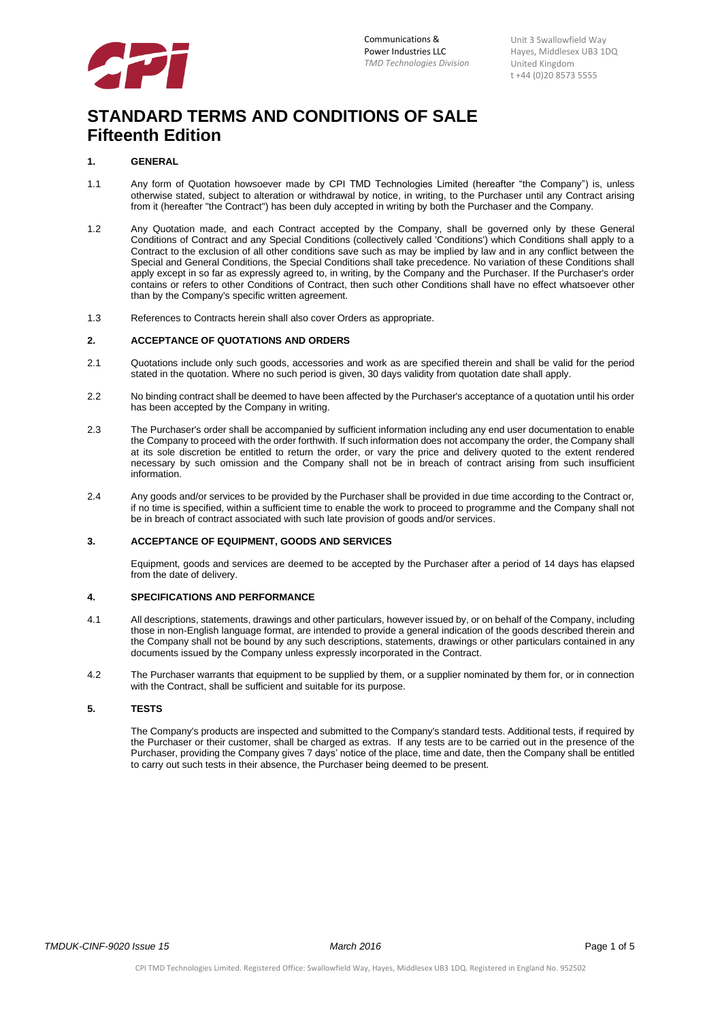

# **STANDARD TERMS AND CONDITIONS OF SALE Fifteenth Edition**

# **1. GENERAL**

- 1.1 Any form of Quotation howsoever made by CPI TMD Technologies Limited (hereafter "the Company") is, unless otherwise stated, subject to alteration or withdrawal by notice, in writing, to the Purchaser until any Contract arising from it (hereafter "the Contract") has been duly accepted in writing by both the Purchaser and the Company.
- 1.2 Any Quotation made, and each Contract accepted by the Company, shall be governed only by these General Conditions of Contract and any Special Conditions (collectively called 'Conditions') which Conditions shall apply to a Contract to the exclusion of all other conditions save such as may be implied by law and in any conflict between the Special and General Conditions, the Special Conditions shall take precedence. No variation of these Conditions shall apply except in so far as expressly agreed to, in writing, by the Company and the Purchaser. If the Purchaser's order contains or refers to other Conditions of Contract, then such other Conditions shall have no effect whatsoever other than by the Company's specific written agreement.
- 1.3 References to Contracts herein shall also cover Orders as appropriate.

#### **2. ACCEPTANCE OF QUOTATIONS AND ORDERS**

- 2.1 Quotations include only such goods, accessories and work as are specified therein and shall be valid for the period stated in the quotation. Where no such period is given, 30 days validity from quotation date shall apply.
- 2.2 No binding contract shall be deemed to have been affected by the Purchaser's acceptance of a quotation until his order has been accepted by the Company in writing.
- 2.3 The Purchaser's order shall be accompanied by sufficient information including any end user documentation to enable the Company to proceed with the order forthwith. If such information does not accompany the order, the Company shall at its sole discretion be entitled to return the order, or vary the price and delivery quoted to the extent rendered necessary by such omission and the Company shall not be in breach of contract arising from such insufficient information.
- 2.4 Any goods and/or services to be provided by the Purchaser shall be provided in due time according to the Contract or, if no time is specified, within a sufficient time to enable the work to proceed to programme and the Company shall not be in breach of contract associated with such late provision of goods and/or services.

### **3. ACCEPTANCE OF EQUIPMENT, GOODS AND SERVICES**

Equipment, goods and services are deemed to be accepted by the Purchaser after a period of 14 days has elapsed from the date of delivery.

#### **4. SPECIFICATIONS AND PERFORMANCE**

- 4.1 All descriptions, statements, drawings and other particulars, however issued by, or on behalf of the Company, including those in non-English language format, are intended to provide a general indication of the goods described therein and the Company shall not be bound by any such descriptions, statements, drawings or other particulars contained in any documents issued by the Company unless expressly incorporated in the Contract.
- 4.2 The Purchaser warrants that equipment to be supplied by them, or a supplier nominated by them for, or in connection with the Contract, shall be sufficient and suitable for its purpose.

# **5. TESTS**

The Company's products are inspected and submitted to the Company's standard tests. Additional tests, if required by the Purchaser or their customer, shall be charged as extras. If any tests are to be carried out in the presence of the Purchaser, providing the Company gives 7 days' notice of the place, time and date, then the Company shall be entitled to carry out such tests in their absence, the Purchaser being deemed to be present.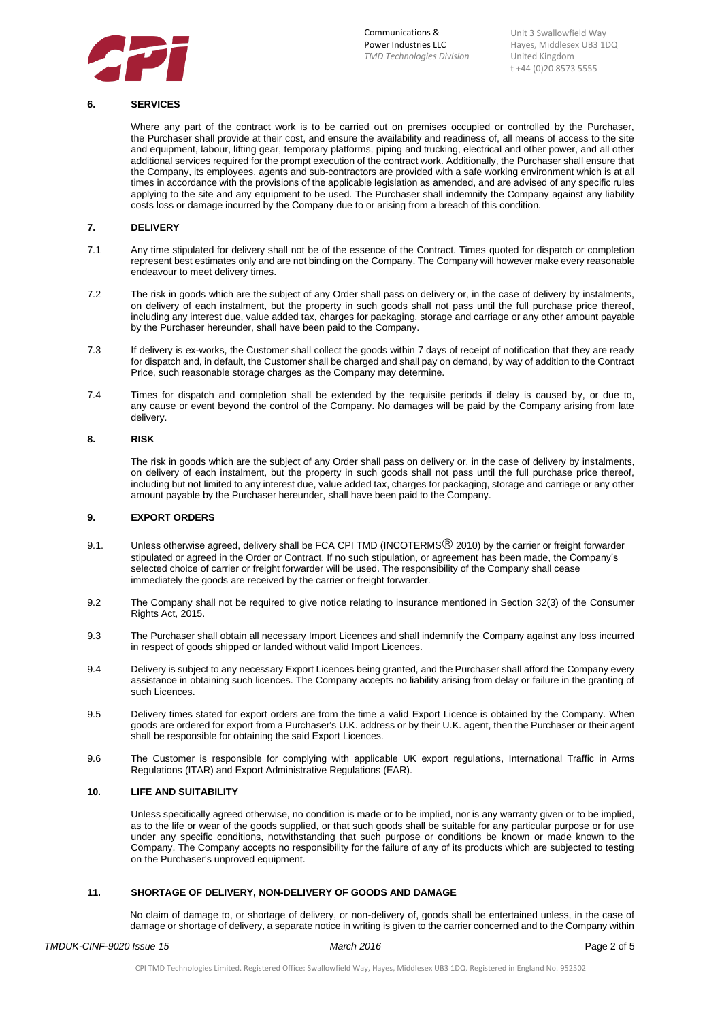

### **6. SERVICES**

Where any part of the contract work is to be carried out on premises occupied or controlled by the Purchaser, the Purchaser shall provide at their cost, and ensure the availability and readiness of, all means of access to the site and equipment, labour, lifting gear, temporary platforms, piping and trucking, electrical and other power, and all other additional services required for the prompt execution of the contract work. Additionally, the Purchaser shall ensure that the Company, its employees, agents and sub-contractors are provided with a safe working environment which is at all times in accordance with the provisions of the applicable legislation as amended, and are advised of any specific rules applying to the site and any equipment to be used. The Purchaser shall indemnify the Company against any liability costs loss or damage incurred by the Company due to or arising from a breach of this condition.

# **7. DELIVERY**

- 7.1 Any time stipulated for delivery shall not be of the essence of the Contract. Times quoted for dispatch or completion represent best estimates only and are not binding on the Company. The Company will however make every reasonable endeavour to meet delivery times.
- 7.2 The risk in goods which are the subject of any Order shall pass on delivery or, in the case of delivery by instalments, on delivery of each instalment, but the property in such goods shall not pass until the full purchase price thereof, including any interest due, value added tax, charges for packaging, storage and carriage or any other amount payable by the Purchaser hereunder, shall have been paid to the Company.
- 7.3 If delivery is ex-works, the Customer shall collect the goods within 7 days of receipt of notification that they are ready for dispatch and, in default, the Customer shall be charged and shall pay on demand, by way of addition to the Contract Price, such reasonable storage charges as the Company may determine.
- 7.4 Times for dispatch and completion shall be extended by the requisite periods if delay is caused by, or due to, any cause or event beyond the control of the Company. No damages will be paid by the Company arising from late delivery.

#### **8. RISK**

The risk in goods which are the subject of any Order shall pass on delivery or, in the case of delivery by instalments, on delivery of each instalment, but the property in such goods shall not pass until the full purchase price thereof, including but not limited to any interest due, value added tax, charges for packaging, storage and carriage or any other amount payable by the Purchaser hereunder, shall have been paid to the Company.

#### **9. EXPORT ORDERS**

- 9.1. Unless otherwise agreed, delivery shall be FCA CPI TMD (INCOTERMS<sup>®</sup> 2010) by the carrier or freight forwarder stipulated or agreed in the Order or Contract. If no such stipulation, or agreement has been made, the Company's selected choice of carrier or freight forwarder will be used. The responsibility of the Company shall cease immediately the goods are received by the carrier or freight forwarder.
- 9.2 The Company shall not be required to give notice relating to insurance mentioned in Section 32(3) of the Consumer Rights Act, 2015.
- 9.3 The Purchaser shall obtain all necessary Import Licences and shall indemnify the Company against any loss incurred in respect of goods shipped or landed without valid Import Licences.
- 9.4 Delivery is subject to any necessary Export Licences being granted, and the Purchaser shall afford the Company every assistance in obtaining such licences. The Company accepts no liability arising from delay or failure in the granting of such Licences.
- 9.5 Delivery times stated for export orders are from the time a valid Export Licence is obtained by the Company. When goods are ordered for export from a Purchaser's U.K. address or by their U.K. agent, then the Purchaser or their agent shall be responsible for obtaining the said Export Licences.
- 9.6 The Customer is responsible for complying with applicable UK export regulations, International Traffic in Arms Regulations (ITAR) and Export Administrative Regulations (EAR).

# **10. LIFE AND SUITABILITY**

Unless specifically agreed otherwise, no condition is made or to be implied, nor is any warranty given or to be implied, as to the life or wear of the goods supplied, or that such goods shall be suitable for any particular purpose or for use under any specific conditions, notwithstanding that such purpose or conditions be known or made known to the Company. The Company accepts no responsibility for the failure of any of its products which are subjected to testing on the Purchaser's unproved equipment.

#### **11. SHORTAGE OF DELIVERY, NON-DELIVERY OF GOODS AND DAMAGE**

No claim of damage to, or shortage of delivery, or non-delivery of, goods shall be entertained unless, in the case of damage or shortage of delivery, a separate notice in writing is given to the carrier concerned and to the Company within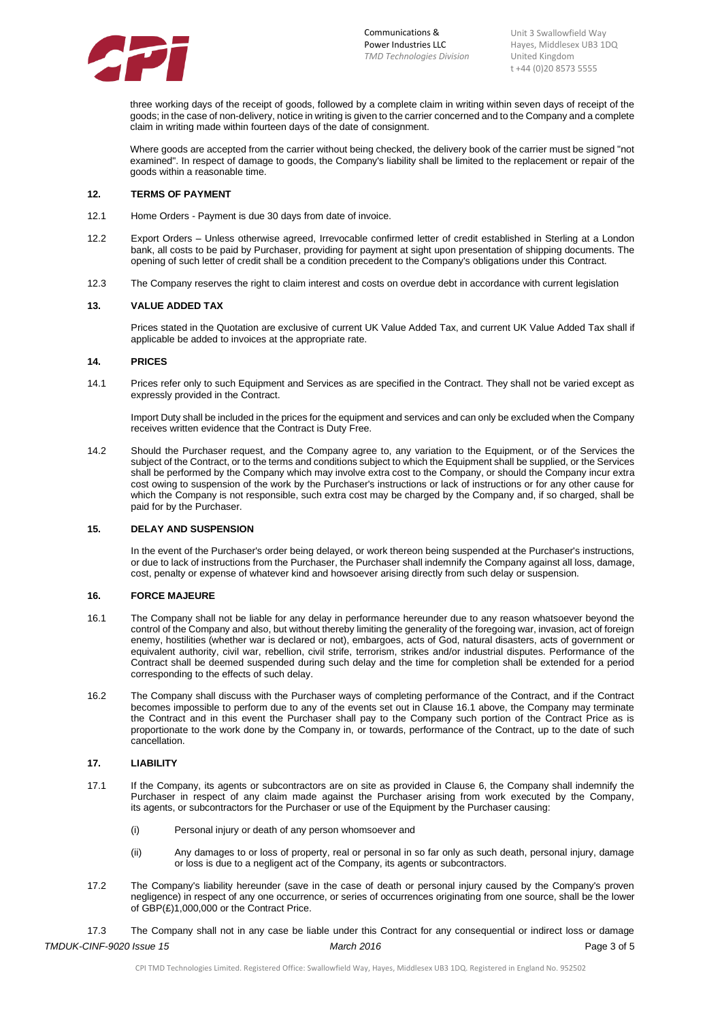

three working days of the receipt of goods, followed by a complete claim in writing within seven days of receipt of the goods; in the case of non-delivery, notice in writing is given to the carrier concerned and to the Company and a complete claim in writing made within fourteen days of the date of consignment.

Where goods are accepted from the carrier without being checked, the delivery book of the carrier must be signed "not examined". In respect of damage to goods, the Company's liability shall be limited to the replacement or repair of the goods within a reasonable time.

#### **12. TERMS OF PAYMENT**

- 12.1 Home Orders Payment is due 30 days from date of invoice.
- 12.2 Export Orders Unless otherwise agreed, Irrevocable confirmed letter of credit established in Sterling at a London bank, all costs to be paid by Purchaser, providing for payment at sight upon presentation of shipping documents. The opening of such letter of credit shall be a condition precedent to the Company's obligations under this Contract.
- 12.3 The Company reserves the right to claim interest and costs on overdue debt in accordance with current legislation

#### **13. VALUE ADDED TAX**

Prices stated in the Quotation are exclusive of current UK Value Added Tax, and current UK Value Added Tax shall if applicable be added to invoices at the appropriate rate.

# **14. PRICES**

14.1 Prices refer only to such Equipment and Services as are specified in the Contract. They shall not be varied except as expressly provided in the Contract.

Import Duty shall be included in the prices for the equipment and services and can only be excluded when the Company receives written evidence that the Contract is Duty Free.

14.2 Should the Purchaser request, and the Company agree to, any variation to the Equipment, or of the Services the subject of the Contract, or to the terms and conditions subject to which the Equipment shall be supplied, or the Services shall be performed by the Company which may involve extra cost to the Company, or should the Company incur extra cost owing to suspension of the work by the Purchaser's instructions or lack of instructions or for any other cause for which the Company is not responsible, such extra cost may be charged by the Company and, if so charged, shall be paid for by the Purchaser.

#### **15. DELAY AND SUSPENSION**

In the event of the Purchaser's order being delayed, or work thereon being suspended at the Purchaser's instructions, or due to lack of instructions from the Purchaser, the Purchaser shall indemnify the Company against all loss, damage, cost, penalty or expense of whatever kind and howsoever arising directly from such delay or suspension.

#### **16. FORCE MAJEURE**

- 16.1 The Company shall not be liable for any delay in performance hereunder due to any reason whatsoever beyond the control of the Company and also, but without thereby limiting the generality of the foregoing war, invasion, act of foreign enemy, hostilities (whether war is declared or not), embargoes, acts of God, natural disasters, acts of government or equivalent authority, civil war, rebellion, civil strife, terrorism, strikes and/or industrial disputes. Performance of the Contract shall be deemed suspended during such delay and the time for completion shall be extended for a period corresponding to the effects of such delay.
- 16.2 The Company shall discuss with the Purchaser ways of completing performance of the Contract, and if the Contract becomes impossible to perform due to any of the events set out in Clause 16.1 above, the Company may terminate the Contract and in this event the Purchaser shall pay to the Company such portion of the Contract Price as is proportionate to the work done by the Company in, or towards, performance of the Contract, up to the date of such cancellation.

# **17. LIABILITY**

- 17.1 If the Company, its agents or subcontractors are on site as provided in Clause 6, the Company shall indemnify the Purchaser in respect of any claim made against the Purchaser arising from work executed by the Company, its agents, or subcontractors for the Purchaser or use of the Equipment by the Purchaser causing:
	- (i) Personal injury or death of any person whomsoever and
	- (ii) Any damages to or loss of property, real or personal in so far only as such death, personal injury, damage or loss is due to a negligent act of the Company, its agents or subcontractors.
- 17.2 The Company's liability hereunder (save in the case of death or personal injury caused by the Company's proven negligence) in respect of any one occurrence, or series of occurrences originating from one source, shall be the lower of GBP(£)1,000,000 or the Contract Price.

*TMDUK-CINF-9020 Issue 15 March 2016* Page 3 of 5 17.3 The Company shall not in any case be liable under this Contract for any consequential or indirect loss or damage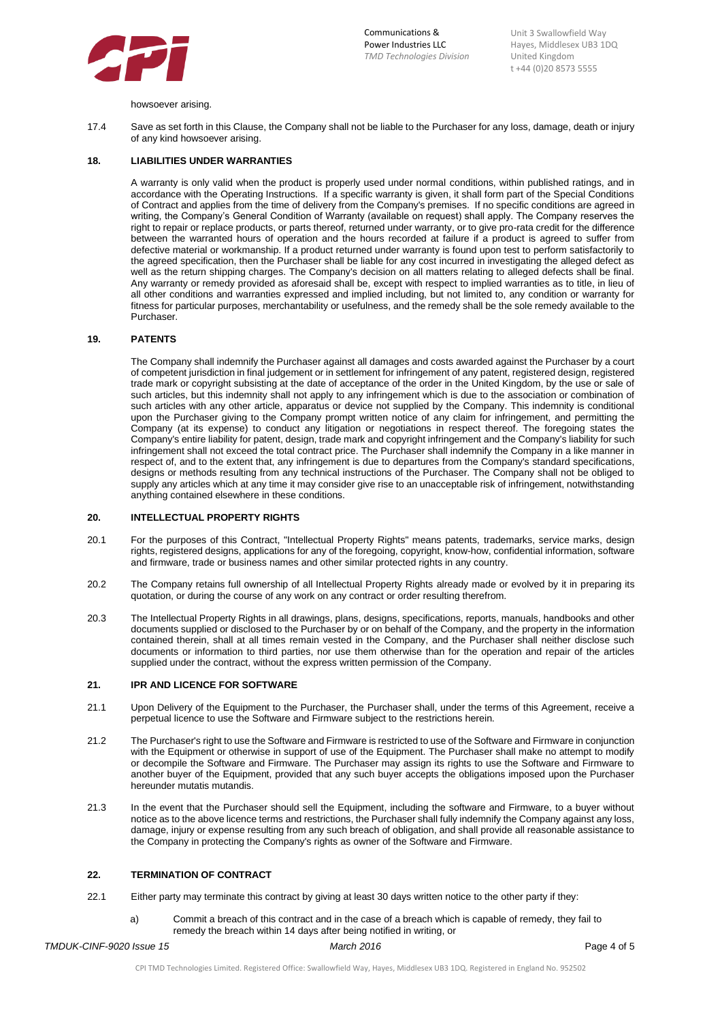

howsoever arising.

17.4 Save as set forth in this Clause, the Company shall not be liable to the Purchaser for any loss, damage, death or injury of any kind howsoever arising.

### **18. LIABILITIES UNDER WARRANTIES**

A warranty is only valid when the product is properly used under normal conditions, within published ratings, and in accordance with the Operating Instructions. If a specific warranty is given, it shall form part of the Special Conditions of Contract and applies from the time of delivery from the Company's premises. If no specific conditions are agreed in writing, the Company's General Condition of Warranty (available on request) shall apply. The Company reserves the right to repair or replace products, or parts thereof, returned under warranty, or to give pro-rata credit for the difference between the warranted hours of operation and the hours recorded at failure if a product is agreed to suffer from defective material or workmanship. If a product returned under warranty is found upon test to perform satisfactorily to the agreed specification, then the Purchaser shall be liable for any cost incurred in investigating the alleged defect as well as the return shipping charges. The Company's decision on all matters relating to alleged defects shall be final. Any warranty or remedy provided as aforesaid shall be, except with respect to implied warranties as to title, in lieu of all other conditions and warranties expressed and implied including, but not limited to, any condition or warranty for fitness for particular purposes, merchantability or usefulness, and the remedy shall be the sole remedy available to the Purchaser.

### **19. PATENTS**

The Company shall indemnify the Purchaser against all damages and costs awarded against the Purchaser by a court of competent jurisdiction in final judgement or in settlement for infringement of any patent, registered design, registered trade mark or copyright subsisting at the date of acceptance of the order in the United Kingdom, by the use or sale of such articles, but this indemnity shall not apply to any infringement which is due to the association or combination of such articles with any other article, apparatus or device not supplied by the Company. This indemnity is conditional upon the Purchaser giving to the Company prompt written notice of any claim for infringement, and permitting the Company (at its expense) to conduct any litigation or negotiations in respect thereof. The foregoing states the Company's entire liability for patent, design, trade mark and copyright infringement and the Company's liability for such infringement shall not exceed the total contract price. The Purchaser shall indemnify the Company in a like manner in respect of, and to the extent that, any infringement is due to departures from the Company's standard specifications, designs or methods resulting from any technical instructions of the Purchaser. The Company shall not be obliged to supply any articles which at any time it may consider give rise to an unacceptable risk of infringement, notwithstanding anything contained elsewhere in these conditions.

#### **20. INTELLECTUAL PROPERTY RIGHTS**

- 20.1 For the purposes of this Contract, "Intellectual Property Rights" means patents, trademarks, service marks, design rights, registered designs, applications for any of the foregoing, copyright, know-how, confidential information, software and firmware, trade or business names and other similar protected rights in any country.
- 20.2 The Company retains full ownership of all Intellectual Property Rights already made or evolved by it in preparing its quotation, or during the course of any work on any contract or order resulting therefrom.
- 20.3 The Intellectual Property Rights in all drawings, plans, designs, specifications, reports, manuals, handbooks and other documents supplied or disclosed to the Purchaser by or on behalf of the Company, and the property in the information contained therein, shall at all times remain vested in the Company, and the Purchaser shall neither disclose such documents or information to third parties, nor use them otherwise than for the operation and repair of the articles supplied under the contract, without the express written permission of the Company.

### **21. IPR AND LICENCE FOR SOFTWARE**

- 21.1 Upon Delivery of the Equipment to the Purchaser, the Purchaser shall, under the terms of this Agreement, receive a perpetual licence to use the Software and Firmware subject to the restrictions herein.
- 21.2 The Purchaser's right to use the Software and Firmware is restricted to use of the Software and Firmware in conjunction with the Equipment or otherwise in support of use of the Equipment. The Purchaser shall make no attempt to modify or decompile the Software and Firmware. The Purchaser may assign its rights to use the Software and Firmware to another buyer of the Equipment, provided that any such buyer accepts the obligations imposed upon the Purchaser hereunder mutatis mutandis.
- 21.3 In the event that the Purchaser should sell the Equipment, including the software and Firmware, to a buyer without notice as to the above licence terms and restrictions, the Purchaser shall fully indemnify the Company against any loss, damage, injury or expense resulting from any such breach of obligation, and shall provide all reasonable assistance to the Company in protecting the Company's rights as owner of the Software and Firmware.

#### **22. TERMINATION OF CONTRACT**

- 22.1 Either party may terminate this contract by giving at least 30 days written notice to the other party if they:
	- a) Commit a breach of this contract and in the case of a breach which is capable of remedy, they fail to remedy the breach within 14 days after being notified in writing, or

*TMDUK-CINF-9020 Issue 15 March 2016* Page 4 of 5